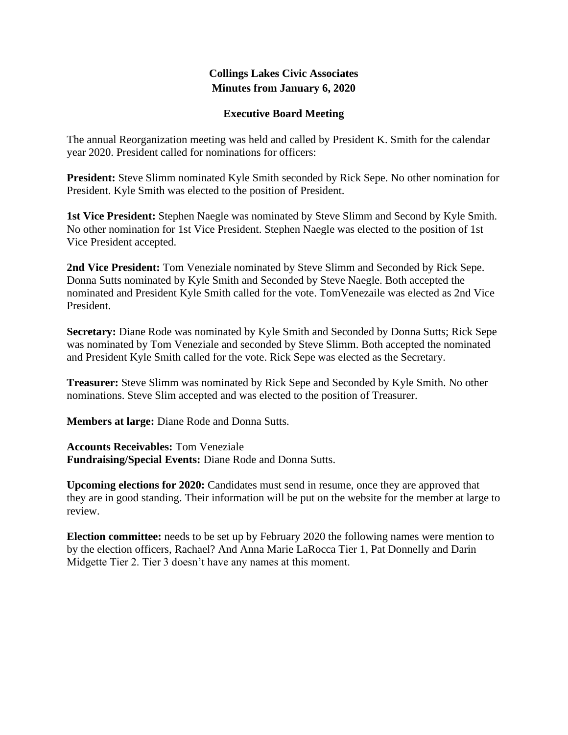### **Collings Lakes Civic Associates Minutes from January 6, 2020**

#### **Executive Board Meeting**

The annual Reorganization meeting was held and called by President K. Smith for the calendar year 2020. President called for nominations for officers:

**President:** Steve Slimm nominated Kyle Smith seconded by Rick Sepe. No other nomination for President. Kyle Smith was elected to the position of President.

**1st Vice President:** Stephen Naegle was nominated by Steve Slimm and Second by Kyle Smith. No other nomination for 1st Vice President. Stephen Naegle was elected to the position of 1st Vice President accepted.

**2nd Vice President:** Tom Veneziale nominated by Steve Slimm and Seconded by Rick Sepe. Donna Sutts nominated by Kyle Smith and Seconded by Steve Naegle. Both accepted the nominated and President Kyle Smith called for the vote. TomVenezaile was elected as 2nd Vice President.

**Secretary:** Diane Rode was nominated by Kyle Smith and Seconded by Donna Sutts; Rick Sepe was nominated by Tom Veneziale and seconded by Steve Slimm. Both accepted the nominated and President Kyle Smith called for the vote. Rick Sepe was elected as the Secretary.

**Treasurer:** Steve Slimm was nominated by Rick Sepe and Seconded by Kyle Smith. No other nominations. Steve Slim accepted and was elected to the position of Treasurer.

**Members at large:** Diane Rode and Donna Sutts.

**Accounts Receivables:** Tom Veneziale **Fundraising/Special Events:** Diane Rode and Donna Sutts.

**Upcoming elections for 2020:** Candidates must send in resume, once they are approved that they are in good standing. Their information will be put on the website for the member at large to review.

**Election committee:** needs to be set up by February 2020 the following names were mention to by the election officers, Rachael? And Anna Marie LaRocca Tier 1, Pat Donnelly and Darin Midgette Tier 2. Tier 3 doesn't have any names at this moment.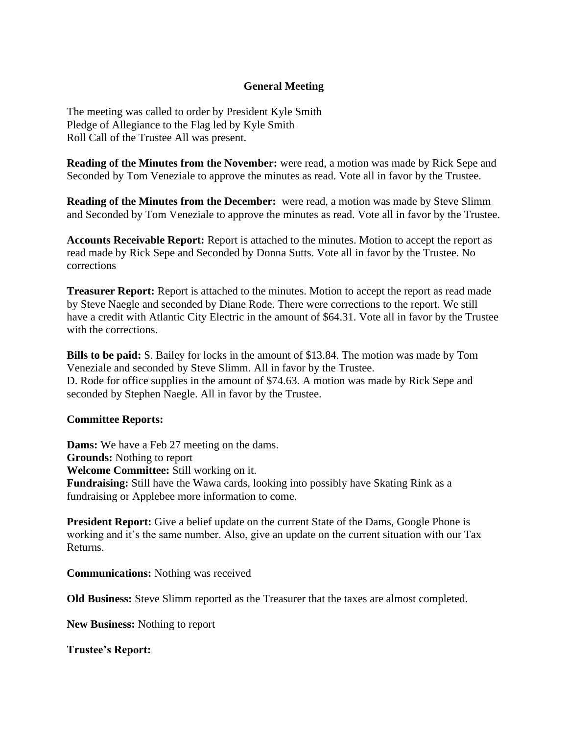#### **General Meeting**

The meeting was called to order by President Kyle Smith Pledge of Allegiance to the Flag led by Kyle Smith Roll Call of the Trustee All was present.

**Reading of the Minutes from the November:** were read, a motion was made by Rick Sepe and Seconded by Tom Veneziale to approve the minutes as read. Vote all in favor by the Trustee.

**Reading of the Minutes from the December:** were read, a motion was made by Steve Slimm and Seconded by Tom Veneziale to approve the minutes as read. Vote all in favor by the Trustee.

**Accounts Receivable Report:** Report is attached to the minutes. Motion to accept the report as read made by Rick Sepe and Seconded by Donna Sutts. Vote all in favor by the Trustee. No corrections

**Treasurer Report:** Report is attached to the minutes. Motion to accept the report as read made by Steve Naegle and seconded by Diane Rode. There were corrections to the report. We still have a credit with Atlantic City Electric in the amount of \$64.31. Vote all in favor by the Trustee with the corrections.

**Bills to be paid:** S. Bailey for locks in the amount of \$13.84. The motion was made by Tom Veneziale and seconded by Steve Slimm. All in favor by the Trustee. D. Rode for office supplies in the amount of \$74.63. A motion was made by Rick Sepe and seconded by Stephen Naegle. All in favor by the Trustee.

#### **Committee Reports:**

**Dams:** We have a Feb 27 meeting on the dams. **Grounds:** Nothing to report **Welcome Committee:** Still working on it. **Fundraising:** Still have the Wawa cards, looking into possibly have Skating Rink as a fundraising or Applebee more information to come.

**President Report:** Give a belief update on the current State of the Dams, Google Phone is working and it's the same number. Also, give an update on the current situation with our Tax Returns.

**Communications:** Nothing was received

**Old Business:** Steve Slimm reported as the Treasurer that the taxes are almost completed.

**New Business:** Nothing to report

**Trustee's Report:**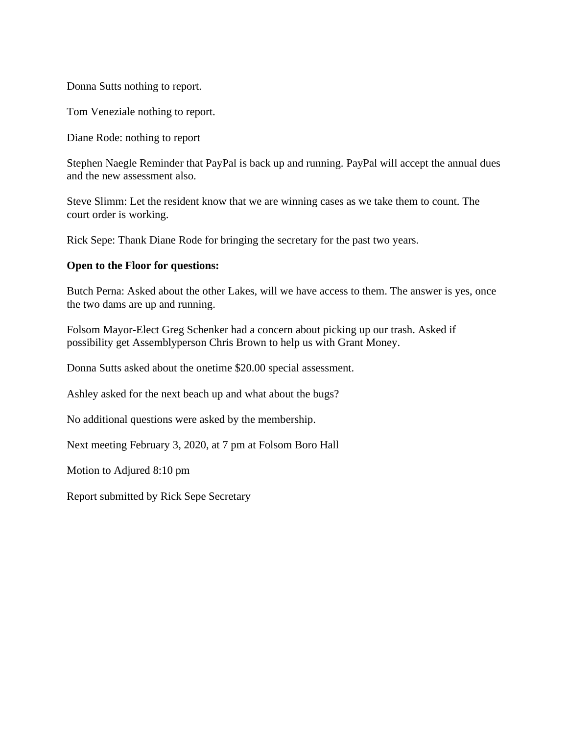Donna Sutts nothing to report.

Tom Veneziale nothing to report.

Diane Rode: nothing to report

Stephen Naegle Reminder that PayPal is back up and running. PayPal will accept the annual dues and the new assessment also.

Steve Slimm: Let the resident know that we are winning cases as we take them to count. The court order is working.

Rick Sepe: Thank Diane Rode for bringing the secretary for the past two years.

#### **Open to the Floor for questions:**

Butch Perna: Asked about the other Lakes, will we have access to them. The answer is yes, once the two dams are up and running.

Folsom Mayor-Elect Greg Schenker had a concern about picking up our trash. Asked if possibility get Assemblyperson Chris Brown to help us with Grant Money.

Donna Sutts asked about the onetime \$20.00 special assessment.

Ashley asked for the next beach up and what about the bugs?

No additional questions were asked by the membership.

Next meeting February 3, 2020, at 7 pm at Folsom Boro Hall

Motion to Adjured 8:10 pm

Report submitted by Rick Sepe Secretary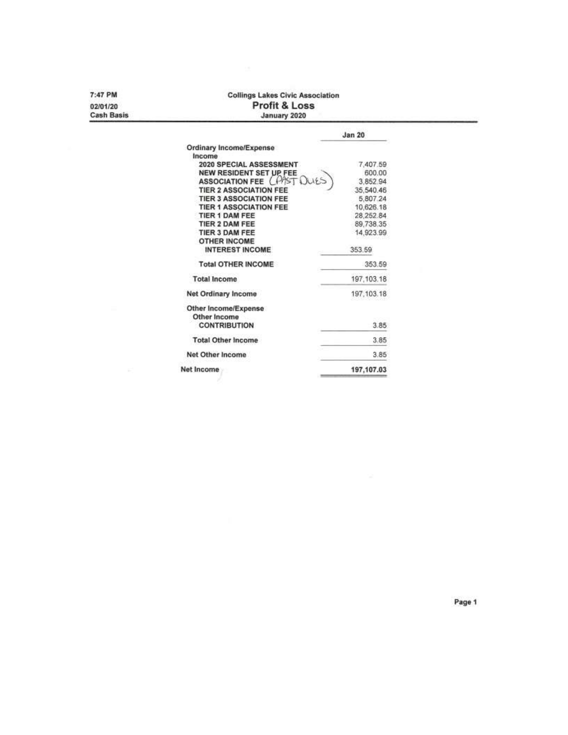7:47 PM 02/01/20

**Cash Basis** 

## Collings Lakes Civic Association<br>Profit & Loss<br>January 2020

|                               | <b>Jan 20</b> |
|-------------------------------|---------------|
| Ordinary Income/Expense       |               |
| Income                        |               |
| 2020 SPECIAL ASSESSMENT       | 7,407.59      |
| NEW RESIDENT SET UP FEE       | 600.00        |
| <b>ASSOCIATION FEE</b>        | 3,852.94      |
| <b>TIER 2 ASSOCIATION FEE</b> | 35,540.46     |
| <b>TIER 3 ASSOCIATION FEE</b> | 5,807.24      |
| <b>TIER 1 ASSOCIATION FEE</b> | 10,626.18     |
| TIER 1 DAM FEE                | 28,252.84     |
| TIER 2 DAM FEE                | 89,738.35     |
| TIER 3 DAM FEE                | 14,923.99     |
| <b>OTHER INCOME</b>           |               |
| <b>INTEREST INCOME</b>        | 353.59        |
| <b>Total OTHER INCOME</b>     | 353.59        |
| <b>Total Income</b>           | 197, 103.18   |
| Net Ordinary Income           | 197, 103. 18  |
| Other Income/Expense          |               |
| Other Income                  |               |
| <b>CONTRIBUTION</b>           | 3.85          |
| <b>Total Other Income</b>     | 3.85          |
| Net Other Income              | 3.85          |
| Net Income                    | 197,107.03    |

Page 1